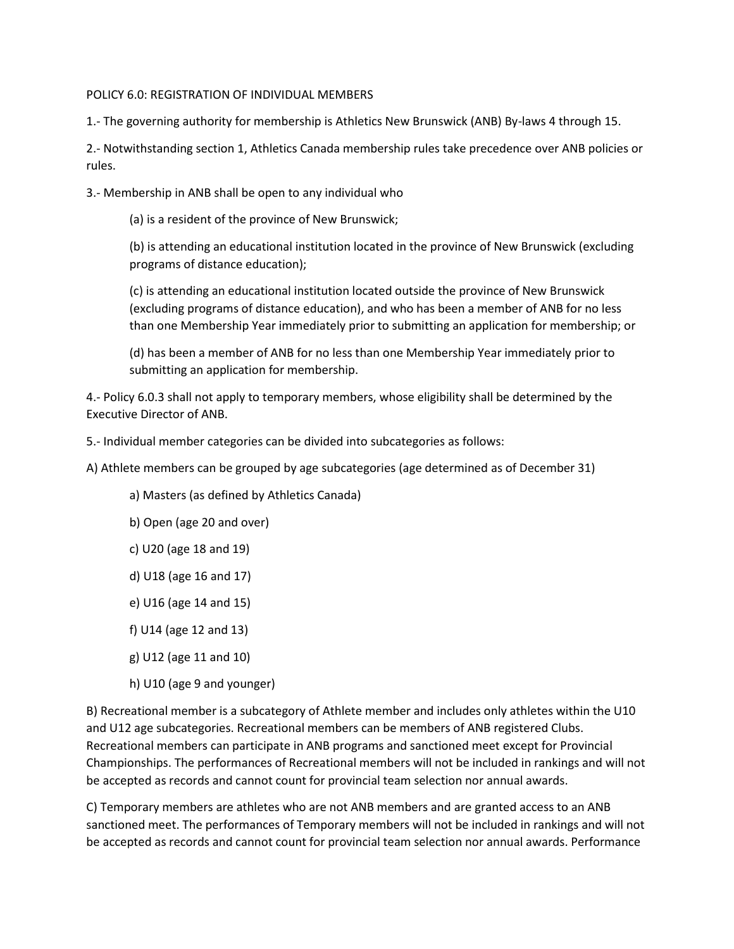## POLICY 6.0: REGISTRATION OF INDIVIDUAL MEMBERS

1.- The governing authority for membership is Athletics New Brunswick (ANB) By-laws 4 through 15.

2.- Notwithstanding section 1, Athletics Canada membership rules take precedence over ANB policies or rules.

3.- Membership in ANB shall be open to any individual who

(a) is a resident of the province of New Brunswick;

(b) is attending an educational institution located in the province of New Brunswick (excluding programs of distance education);

(c) is attending an educational institution located outside the province of New Brunswick (excluding programs of distance education), and who has been a member of ANB for no less than one Membership Year immediately prior to submitting an application for membership; or

(d) has been a member of ANB for no less than one Membership Year immediately prior to submitting an application for membership.

4.- Policy 6.0.3 shall not apply to temporary members, whose eligibility shall be determined by the Executive Director of ANB.

5.- Individual member categories can be divided into subcategories as follows:

A) Athlete members can be grouped by age subcategories (age determined as of December 31)

a) Masters (as defined by Athletics Canada)

- b) Open (age 20 and over)
- c) U20 (age 18 and 19)
- d) U18 (age 16 and 17)
- e) U16 (age 14 and 15)
- f) U14 (age 12 and 13)
- g) U12 (age 11 and 10)
- h) U10 (age 9 and younger)

B) Recreational member is a subcategory of Athlete member and includes only athletes within the U10 and U12 age subcategories. Recreational members can be members of ANB registered Clubs. Recreational members can participate in ANB programs and sanctioned meet except for Provincial Championships. The performances of Recreational members will not be included in rankings and will not be accepted as records and cannot count for provincial team selection nor annual awards.

C) Temporary members are athletes who are not ANB members and are granted access to an ANB sanctioned meet. The performances of Temporary members will not be included in rankings and will not be accepted as records and cannot count for provincial team selection nor annual awards. Performance